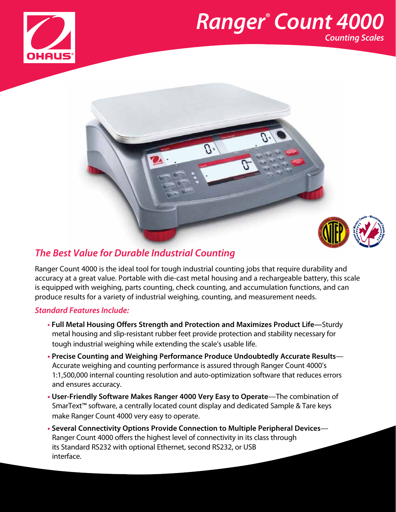

## *Ranger® Count 4000 Counting Scales*



## *The Best Value for Durable Industrial Counting*

Ranger Count 4000 is the ideal tool for tough industrial counting jobs that require durability and accuracy at a great value. Portable with die-cast metal housing and a rechargeable battery, this scale is equipped with weighing, parts counting, check counting, and accumulation functions, and can produce results for a variety of industrial weighing, counting, and measurement needs.

#### *Standard Features Include:*

- **Full Metal Housing Offers Strength and Protection and Maximizes Product Life—**Sturdy metal housing and slip-resistant rubber feet provide protection and stability necessary for tough industrial weighing while extending the scale's usable life.
- **• Precise Counting and Weighing Performance Produce Undoubtedly Accurate Results** Accurate weighing and counting performance is assured through Ranger Count 4000's 1:1,500,000 internal counting resolution and auto-optimization software that reduces errors and ensures accuracy.
- **• User-Friendly Software Makes Ranger 4000 Very Easy to Operate**—The combination of SmarText™ software, a centrally located count display and dedicated Sample & Tare keys make Ranger Count 4000 very easy to operate.
- **• Several Connectivity Options Provide Connection to Multiple Peripheral Devices** Ranger Count 4000 offers the highest level of connectivity in its class through its Standard RS232 with optional Ethernet, second RS232, or USB interface.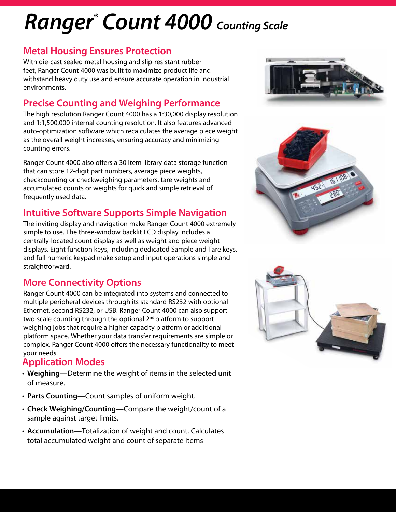# *Ranger® Count 4000 Counting Scale*

### **Metal Housing Ensures Protection**

With die-cast sealed metal housing and slip-resistant rubber feet, Ranger Count 4000 was built to maximize product life and withstand heavy duty use and ensure accurate operation in industrial environments.

## **Precise Counting and Weighing Performance**

The high resolution Ranger Count 4000 has a 1:30,000 display resolution and 1:1,500,000 internal counting resolution. It also features advanced auto-optimization software which recalculates the average piece weight as the overall weight increases, ensuring accuracy and minimizing counting errors.

Ranger Count 4000 also offers a 30 item library data storage function that can store 12-digit part numbers, average piece weights, checkcounting or checkweighing parameters, tare weights and accumulated counts or weights for quick and simple retrieval of frequently used data.

## **Intuitive Software Supports Simple Navigation**

The inviting display and navigation make Ranger Count 4000 extremely simple to use. The three-window backlit LCD display includes a centrally-located count display as well as weight and piece weight displays. Eight function keys, including dedicated Sample and Tare keys, and full numeric keypad make setup and input operations simple and straightforward.

## **More Connectivity Options**

Ranger Count 4000 can be integrated into systems and connected to multiple peripheral devices through its standard RS232 with optional Ethernet, second RS232, or USB. Ranger Count 4000 can also support two-scale counting through the optional 2nd platform to support weighing jobs that require a higher capacity platform or additional platform space. Whether your data transfer requirements are simple or complex, Ranger Count 4000 offers the necessary functionality to meet your needs.

#### **Application Modes**

- **Weighing**—Determine the weight of items in the selected unit of measure.
- **Parts Counting**—Count samples of uniform weight.
- **Check Weighing/Counting**—Compare the weight/count of a sample against target limits.
- **Accumulation**—Totalization of weight and count. Calculates total accumulated weight and count of separate items





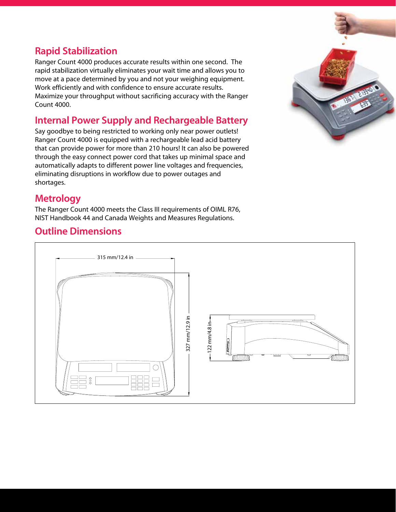## **Rapid Stabilization**

Ranger Count 4000 produces accurate results within one second. The rapid stabilization virtually eliminates your wait time and allows you to move at a pace determined by you and not your weighing equipment. Work efficiently and with confidence to ensure accurate results. Maximize your throughput without sacrificing accuracy with the Ranger Count 4000. ir<br>ne<br>...

## **Internal Power Supply and Rechargeable Battery**

Say goodbye to being restricted to working only near power outlets! Ranger Count 4000 is equipped with a rechargeable lead acid battery that can provide power for more than 210 hours! It can also be powered through the easy connect power cord that takes up minimal space and automatically adapts to different power line voltages and frequencies, eliminating disruptions in workflow due to power outages and shortages.



### **Metrology**

The Ranger Count 4000 meets the Class III requirements of OIML R76, NIST Handbook 44 and Canada Weights and Measures Regulations.

#### **Outline Dimensions**